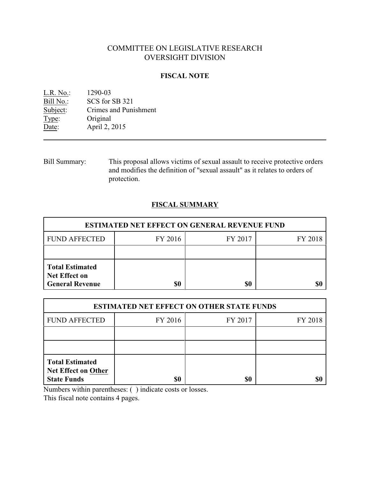# COMMITTEE ON LEGISLATIVE RESEARCH OVERSIGHT DIVISION

### **FISCAL NOTE**

| 1290-03               |
|-----------------------|
| SCS for SB 321        |
| Crimes and Punishment |
| Original              |
| April 2, 2015         |
|                       |

Bill Summary: This proposal allows victims of sexual assault to receive protective orders and modifies the definition of "sexual assault" as it relates to orders of protection.

## **FISCAL SUMMARY**

| <b>ESTIMATED NET EFFECT ON GENERAL REVENUE FUND</b>                      |         |         |         |  |
|--------------------------------------------------------------------------|---------|---------|---------|--|
| <b>FUND AFFECTED</b>                                                     | FY 2016 | FY 2017 | FY 2018 |  |
|                                                                          |         |         |         |  |
| <b>Total Estimated</b><br><b>Net Effect on</b><br><b>General Revenue</b> | \$0     | \$0     |         |  |

| <b>ESTIMATED NET EFFECT ON OTHER STATE FUNDS</b>                           |         |         |         |  |
|----------------------------------------------------------------------------|---------|---------|---------|--|
| <b>FUND AFFECTED</b>                                                       | FY 2016 | FY 2017 | FY 2018 |  |
|                                                                            |         |         |         |  |
|                                                                            |         |         |         |  |
| <b>Total Estimated</b><br><b>Net Effect on Other</b><br><b>State Funds</b> | \$0     | \$0     |         |  |

Numbers within parentheses: ( ) indicate costs or losses.

This fiscal note contains 4 pages.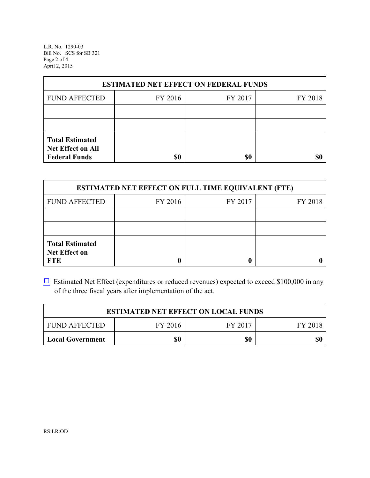L.R. No. 1290-03 Bill No. SCS for SB 321 Page 2 of 4 April 2, 2015

| <b>ESTIMATED NET EFFECT ON FEDERAL FUNDS</b> |                    |     |  |  |  |  |
|----------------------------------------------|--------------------|-----|--|--|--|--|
| <b>FUND AFFECTED</b>                         | FY 2016<br>FY 2017 |     |  |  |  |  |
|                                              |                    |     |  |  |  |  |
|                                              |                    |     |  |  |  |  |
| <b>Total Estimated</b><br>Net Effect on All  |                    |     |  |  |  |  |
| <b>Federal Funds</b>                         | \$0                | \$0 |  |  |  |  |

| <b>ESTIMATED NET EFFECT ON FULL TIME EQUIVALENT (FTE)</b>    |         |         |         |  |
|--------------------------------------------------------------|---------|---------|---------|--|
| <b>FUND AFFECTED</b>                                         | FY 2016 | FY 2017 | FY 2018 |  |
|                                                              |         |         |         |  |
|                                                              |         |         |         |  |
| <b>Total Estimated</b><br><b>Net Effect on</b><br><b>FTE</b> |         |         |         |  |

 $\Box$  Estimated Net Effect (expenditures or reduced revenues) expected to exceed \$100,000 in any of the three fiscal years after implementation of the act.

| <b>ESTIMATED NET EFFECT ON LOCAL FUNDS</b> |         |         |         |  |
|--------------------------------------------|---------|---------|---------|--|
| <b>FUND AFFECTED</b>                       | FY 2016 | FY 2017 | FY 2018 |  |
| Local Government                           | \$0     | \$0     | \$0     |  |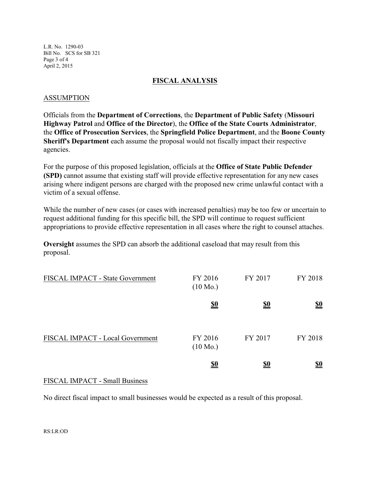L.R. No. 1290-03 Bill No. SCS for SB 321 Page 3 of 4 April 2, 2015

#### **FISCAL ANALYSIS**

#### ASSUMPTION

Officials from the **Department of Corrections**, the **Department of Public Safety** (**Missouri Highway Patrol** and **Office of the Director**), the **Office of the State Courts Administrator**, the **Office of Prosecution Services**, the **Springfield Police Department**, and the **Boone County Sheriff's Department** each assume the proposal would not fiscally impact their respective agencies.

For the purpose of this proposed legislation, officials at the **Office of State Public Defender (SPD)** cannot assume that existing staff will provide effective representation for any new cases arising where indigent persons are charged with the proposed new crime unlawful contact with a victim of a sexual offense.

While the number of new cases (or cases with increased penalties) may be too few or uncertain to request additional funding for this specific bill, the SPD will continue to request sufficient appropriations to provide effective representation in all cases where the right to counsel attaches.

**Oversight** assumes the SPD can absorb the additional caseload that may result from this proposal.

| FISCAL IMPACT - State Government | FY 2016<br>$(10 \text{ Mo.})$ | FY 2017    | FY 2018    |
|----------------------------------|-------------------------------|------------|------------|
|                                  | <u>\$0</u>                    | <u>\$0</u> | <u>\$0</u> |
| FISCAL IMPACT - Local Government | FY 2016<br>$(10 \text{ Mo.})$ | FY 2017    | FY 2018    |
|                                  | <u>\$0</u>                    | <u>\$0</u> | <u>\$0</u> |

#### FISCAL IMPACT - Small Business

No direct fiscal impact to small businesses would be expected as a result of this proposal.